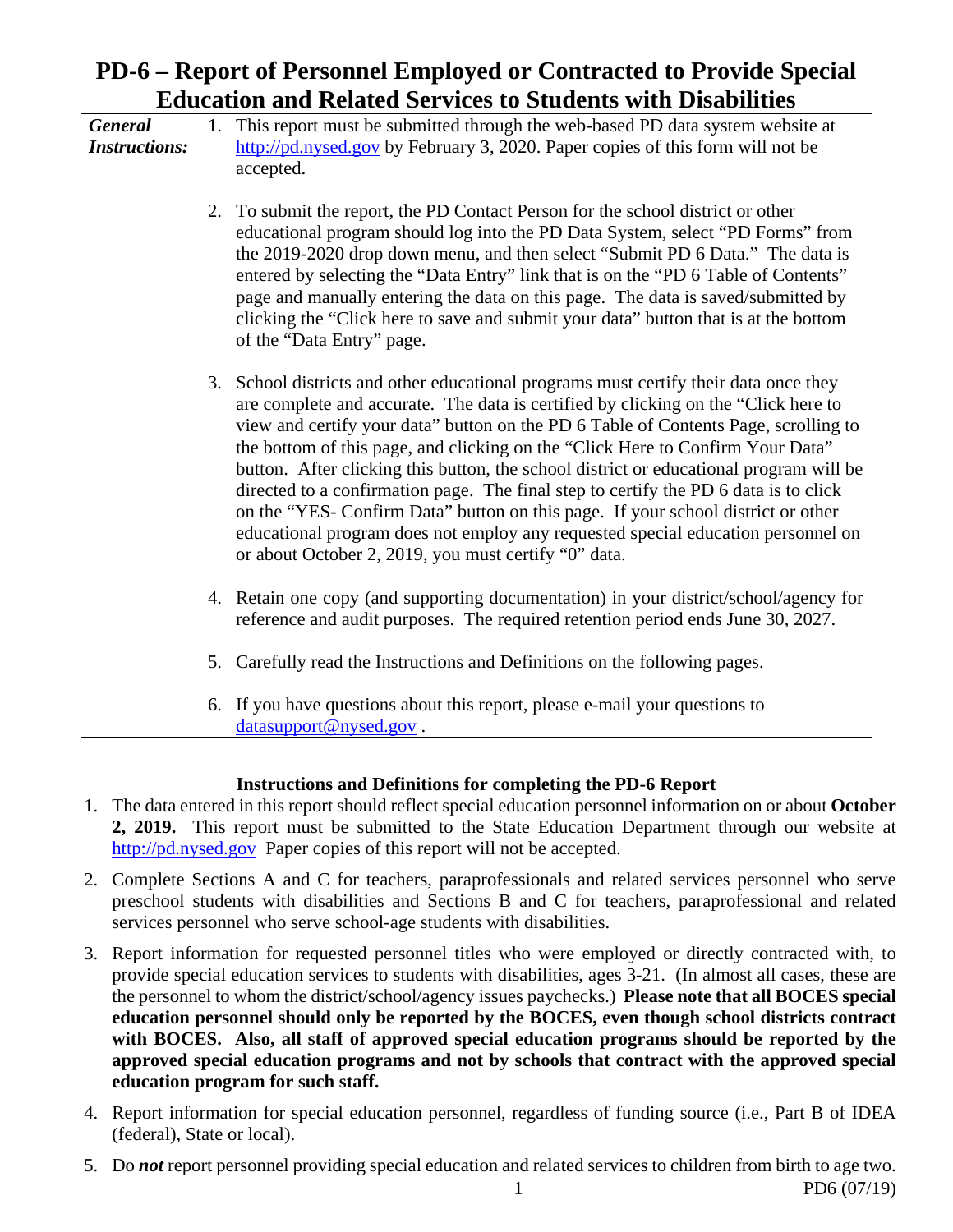# **PD-6 – Report of Personnel Employed or Contracted to Provide Special Education and Related Services to Students with Disabilities**

*General* 1. This report must be submitted through the web-based PD data system website at *Instructions:* http://pd.nysed.gov by February 3, 2020. Paper copies of this form will not be accepted.

- 2. To submit the report, the PD Contact Person for the school district or other educational program should log into the PD Data System, select "PD Forms" from the 2019-2020 drop down menu, and then select "Submit PD 6 Data." The data is entered by selecting the "Data Entry" link that is on the "PD 6 Table of Contents" page and manually entering the data on this page. The data is saved/submitted by clicking the "Click here to save and submit your data" button that is at the bottom of the "Data Entry" page.
- 3. School districts and other educational programs must certify their data once they are complete and accurate. The data is certified by clicking on the "Click here to view and certify your data" button on the PD 6 Table of Contents Page, scrolling to the bottom of this page, and clicking on the "Click Here to Confirm Your Data" button. After clicking this button, the school district or educational program will be directed to a confirmation page. The final step to certify the PD 6 data is to click on the "YES- Confirm Data" button on this page. If your school district or other educational program does not employ any requested special education personnel on or about October 2, 2019, you must certify "0" data.
- 4. Retain one copy (and supporting documentation) in your district/school/agency for reference and audit purposes. The required retention period ends June 30, 2027.
- 5. Carefully read the Instructions and Definitions on the following pages.
- 6. If you have questions about this report, please e-mail your questions to datasupport@nysed.gov.

# **Instructions and Definitions for completing the PD-6 Report**

- 1. The data entered in this report should reflect special education personnel information on or about **October 2, 2019.** This report must be submitted to the State Education Department through our website at http://pd.nysed.gov Paper copies of this report will not be accepted.
- 2. Complete Sections A and C for teachers, paraprofessionals and related services personnel who serve preschool students with disabilities and Sections B and C for teachers, paraprofessional and related services personnel who serve school-age students with disabilities.
- 3. Report information for requested personnel titles who were employed or directly contracted with, to provide special education services to students with disabilities, ages 3-21. (In almost all cases, these are the personnel to whom the district/school/agency issues paychecks.) **Please note that all BOCES special education personnel should only be reported by the BOCES, even though school districts contract with BOCES. Also, all staff of approved special education programs should be reported by the approved special education programs and not by schools that contract with the approved special education program for such staff.**
- 4. Report information for special education personnel, regardless of funding source (i.e., Part B of IDEA (federal), State or local).
- 5. Do *not* report personnel providing special education and related services to children from birth to age two. 1 PD6 (07/19)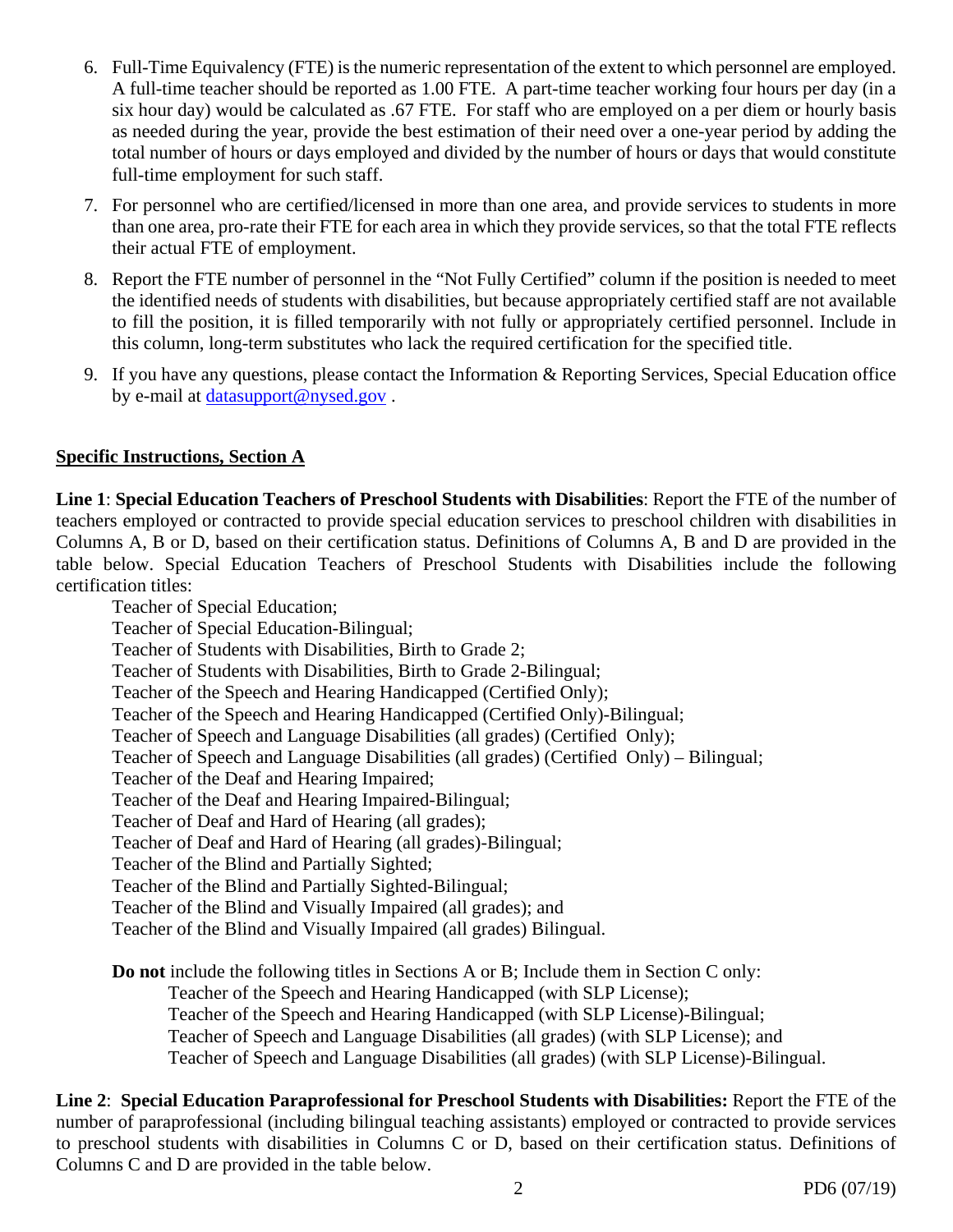- 6. Full-Time Equivalency (FTE) is the numeric representation of the extent to which personnel are employed. A full-time teacher should be reported as 1.00 FTE. A part-time teacher working four hours per day (in a six hour day) would be calculated as .67 FTE. For staff who are employed on a per diem or hourly basis as needed during the year, provide the best estimation of their need over a one-year period by adding the total number of hours or days employed and divided by the number of hours or days that would constitute full-time employment for such staff.
- 7. For personnel who are certified/licensed in more than one area, and provide services to students in more than one area, pro-rate their FTE for each area in which they provide services, so that the total FTE reflects their actual FTE of employment.
- 8. Report the FTE number of personnel in the "Not Fully Certified" column if the position is needed to meet the identified needs of students with disabilities, but because appropriately certified staff are not available to fill the position, it is filled temporarily with not fully or appropriately certified personnel. Include in this column, long-term substitutes who lack the required certification for the specified title.
- 9. If you have any questions, please contact the Information & Reporting Services, Special Education office by e-mail at datasupport@nysed.gov .

# **Specific Instructions, Section A**

certification titles: **Line 1**: **Special Education Teachers of Preschool Students with Disabilities**: Report the FTE of the number of teachers employed or contracted to provide special education services to preschool children with disabilities in Columns A, B or D, based on their certification status. Definitions of Columns A, B and D are provided in the table below. Special Education Teachers of Preschool Students with Disabilities include the following

Teacher of Special Education; Teacher of Special Education-Bilingual; Teacher of Students with Disabilities, Birth to Grade 2; Teacher of Students with Disabilities, Birth to Grade 2-Bilingual; Teacher of the Speech and Hearing Handicapped (Certified Only); Teacher of the Speech and Hearing Handicapped (Certified Only)-Bilingual; Teacher of Speech and Language Disabilities (all grades) (Certified Only); Teacher of Speech and Language Disabilities (all grades) (Certified Only) – Bilingual; Teacher of the Deaf and Hearing Impaired; Teacher of the Deaf and Hearing Impaired-Bilingual; Teacher of Deaf and Hard of Hearing (all grades); Teacher of Deaf and Hard of Hearing (all grades)-Bilingual; Teacher of the Blind and Partially Sighted; Teacher of the Blind and Partially Sighted-Bilingual; Teacher of the Blind and Visually Impaired (all grades); and Teacher of the Blind and Visually Impaired (all grades) Bilingual.

**Do not** include the following titles in Sections A or B; Include them in Section C only: Teacher of the Speech and Hearing Handicapped (with SLP License); Teacher of the Speech and Hearing Handicapped (with SLP License)-Bilingual; Teacher of Speech and Language Disabilities (all grades) (with SLP License); and Teacher of Speech and Language Disabilities (all grades) (with SLP License)-Bilingual.

**Line 2**: **Special Education Paraprofessional for Preschool Students with Disabilities:** Report the FTE of the number of paraprofessional (including bilingual teaching assistants) employed or contracted to provide services to preschool students with disabilities in Columns C or D, based on their certification status. Definitions of Columns C and D are provided in the table below.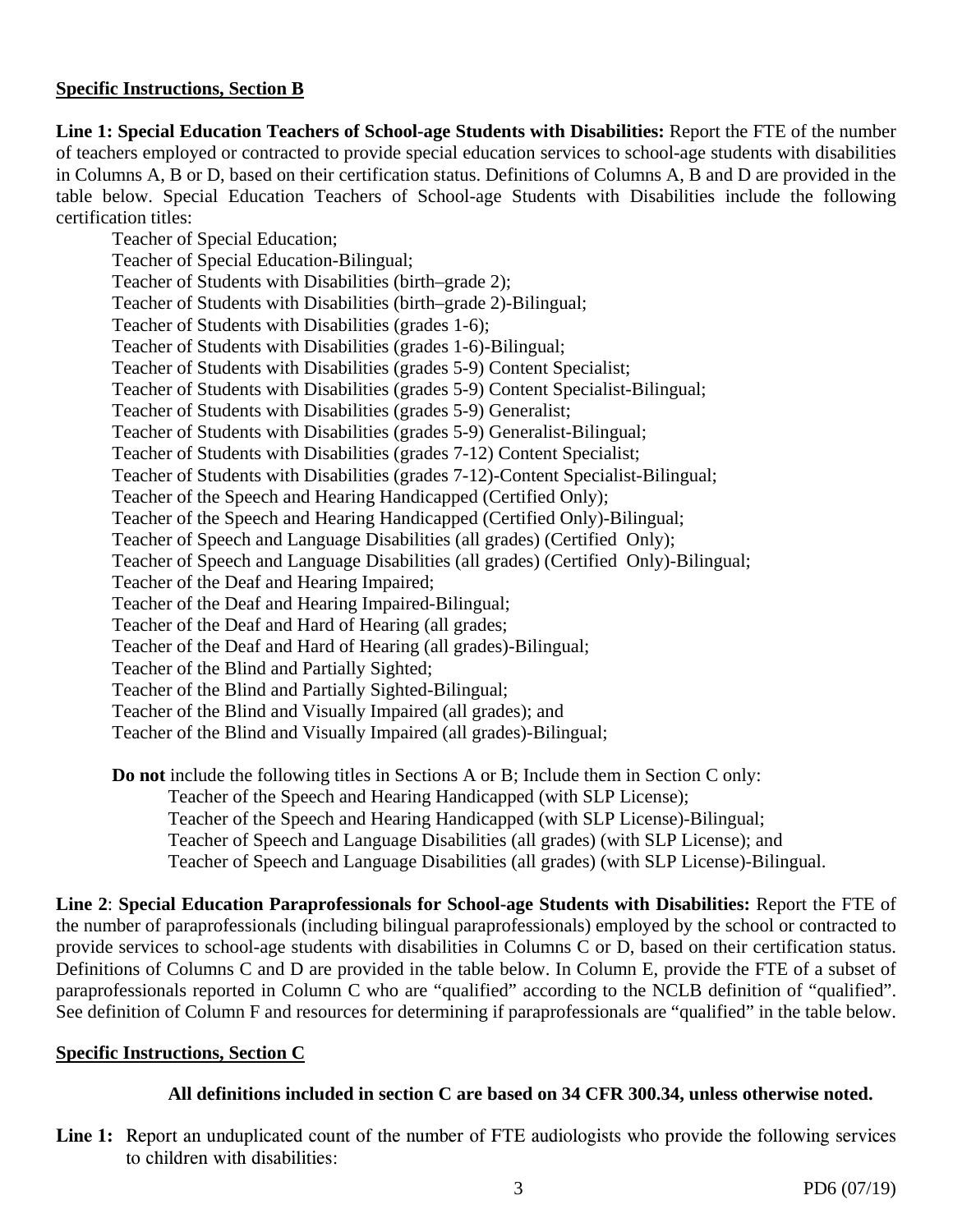## **Specific Instructions, Section B**

**Line 1: Special Education Teachers of School-age Students with Disabilities:** Report the FTE of the number of teachers employed or contracted to provide special education services to school-age students with disabilities in Columns A, B or D, based on their certification status. Definitions of Columns A, B and D are provided in the table below. Special Education Teachers of School-age Students with Disabilities include the following certification titles:

Teacher of Special Education; Teacher of Special Education-Bilingual; Teacher of Students with Disabilities (birth–grade 2); Teacher of Students with Disabilities (birth–grade 2)-Bilingual; Teacher of Students with Disabilities (grades 1-6); Teacher of Students with Disabilities (grades 1-6)-Bilingual; Teacher of Students with Disabilities (grades 5-9) Content Specialist; Teacher of Students with Disabilities (grades 5-9) Content Specialist-Bilingual; Teacher of Students with Disabilities (grades 5-9) Generalist; Teacher of Students with Disabilities (grades 5-9) Generalist-Bilingual; Teacher of Students with Disabilities (grades 7-12) Content Specialist; Teacher of Students with Disabilities (grades 7-12)-Content Specialist-Bilingual; Teacher of the Speech and Hearing Handicapped (Certified Only); Teacher of the Speech and Hearing Handicapped (Certified Only)-Bilingual; Teacher of Speech and Language Disabilities (all grades) (Certified Only); Teacher of Speech and Language Disabilities (all grades) (Certified Only)-Bilingual; Teacher of the Deaf and Hearing Impaired; Teacher of the Deaf and Hearing Impaired-Bilingual; Teacher of the Deaf and Hard of Hearing (all grades; Teacher of the Deaf and Hard of Hearing (all grades)-Bilingual; Teacher of the Blind and Partially Sighted; Teacher of the Blind and Partially Sighted-Bilingual; Teacher of the Blind and Visually Impaired (all grades); and Teacher of the Blind and Visually Impaired (all grades)-Bilingual;

**Do not** include the following titles in Sections A or B; Include them in Section C only: Teacher of the Speech and Hearing Handicapped (with SLP License); Teacher of the Speech and Hearing Handicapped (with SLP License)-Bilingual; Teacher of Speech and Language Disabilities (all grades) (with SLP License); and Teacher of Speech and Language Disabilities (all grades) (with SLP License)-Bilingual.

**Line 2**: **Special Education Paraprofessionals for School-age Students with Disabilities:** Report the FTE of the number of paraprofessionals (including bilingual paraprofessionals) employed by the school or contracted to provide services to school-age students with disabilities in Columns C or D, based on their certification status. Definitions of Columns C and D are provided in the table below. In Column E, provide the FTE of a subset of paraprofessionals reported in Column C who are "qualified" according to the NCLB definition of "qualified". See definition of Column F and resources for determining if paraprofessionals are "qualified" in the table below.

### **Specific Instructions, Section C**

### **All definitions included in section C are based on 34 CFR 300.34, unless otherwise noted.**

Line 1: Report an unduplicated count of the number of FTE audiologists who provide the following services to children with disabilities: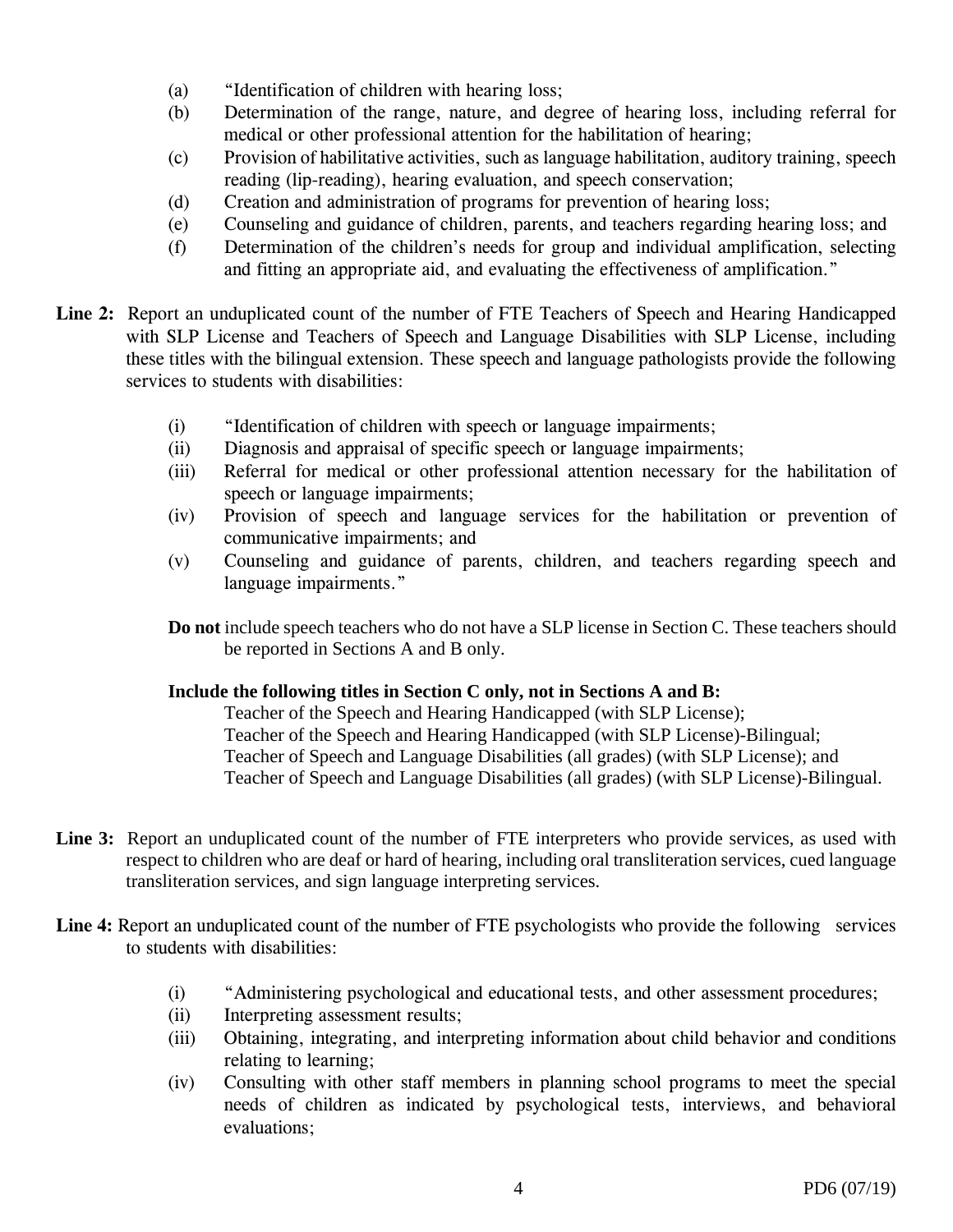- (a) "Identification of children with hearing loss;
- (b) Determination of the range, nature, and degree of hearing loss, including referral for medical or other professional attention for the habilitation of hearing;
- (c) Provision of habilitative activities, such as language habilitation, auditory training, speech reading (lip-reading), hearing evaluation, and speech conservation;
- (d) Creation and administration of programs for prevention of hearing loss;
- (e) Counseling and guidance of children, parents, and teachers regarding hearing loss; and
- (f) Determination of the children's needs for group and individual amplification, selecting and fitting an appropriate aid, and evaluating the effectiveness of amplification."
- **Line 2:** Report an unduplicated count of the number of FTE Teachers of Speech and Hearing Handicapped with SLP License and Teachers of Speech and Language Disabilities with SLP License, including these titles with the bilingual extension. These speech and language pathologists provide the following services to students with disabilities:
	- (i) "Identification of children with speech or language impairments;
	- (ii) Diagnosis and appraisal of specific speech or language impairments;
	- (iii) Referral for medical or other professional attention necessary for the habilitation of speech or language impairments;
	- (iv) Provision of speech and language services for the habilitation or prevention of communicative impairments; and
	- (v) Counseling and guidance of parents, children, and teachers regarding speech and language impairments."

**Do not** include speech teachers who do not have a SLP license in Section C. These teachers should be reported in Sections A and B only.

## **Include the following titles in Section C only, not in Sections A and B:**

Teacher of the Speech and Hearing Handicapped (with SLP License); Teacher of the Speech and Hearing Handicapped (with SLP License)-Bilingual; Teacher of Speech and Language Disabilities (all grades) (with SLP License); and Teacher of Speech and Language Disabilities (all grades) (with SLP License)-Bilingual.

- Line 3: Report an unduplicated count of the number of FTE interpreters who provide services, as used with respect to children who are deaf or hard of hearing, including oral transliteration services, cued language transliteration services, and sign language interpreting services.
- Line 4: Report an unduplicated count of the number of FTE psychologists who provide the following services to students with disabilities:
	- (i) "Administering psychological and educational tests, and other assessment procedures;
	- (ii) Interpreting assessment results;
	- (iii) Obtaining, integrating, and interpreting information about child behavior and conditions relating to learning;
	- (iv) Consulting with other staff members in planning school programs to meet the special needs of children as indicated by psychological tests, interviews, and behavioral evaluations;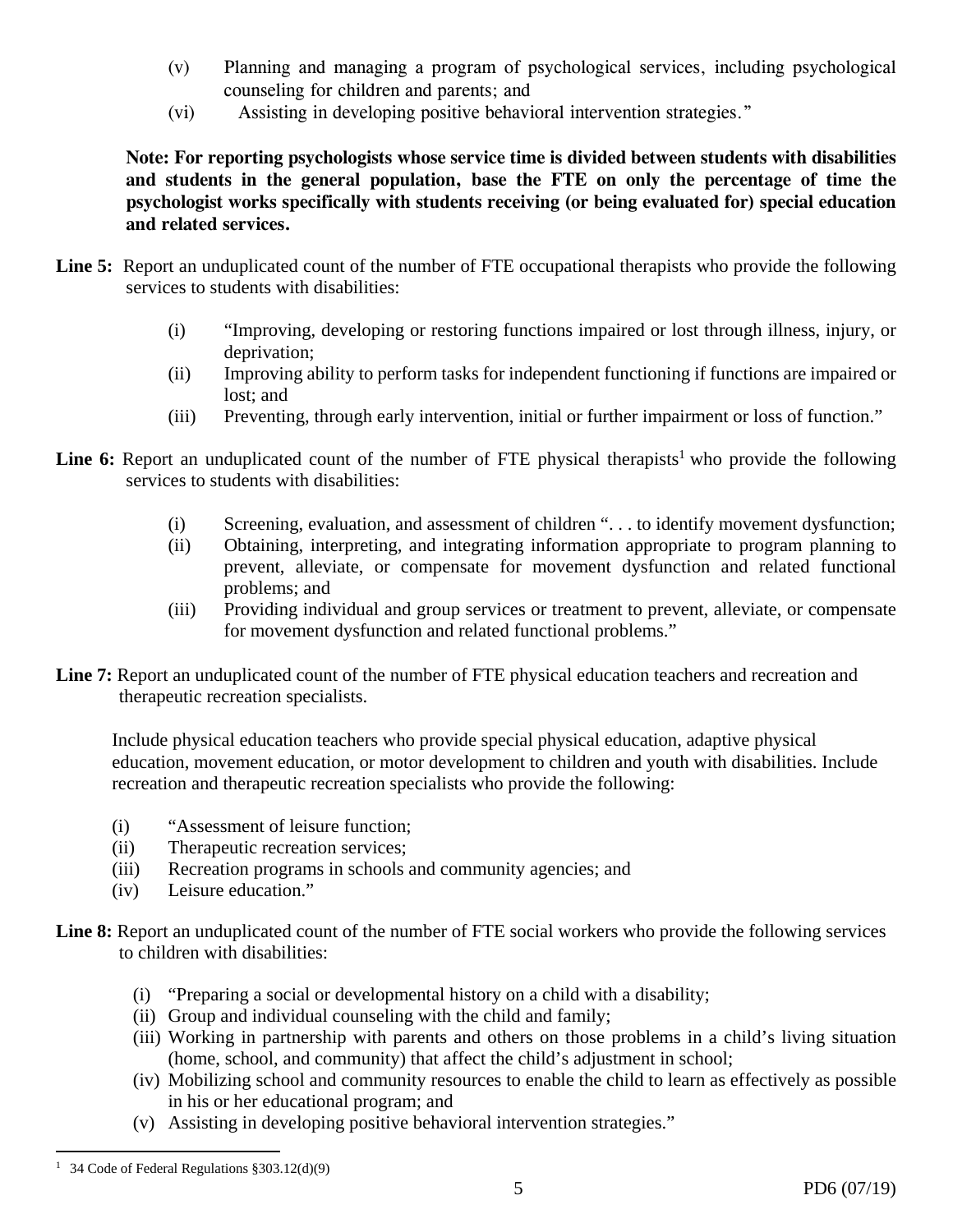- (v) Planning and managing a program of psychological services, including psychological counseling for children and parents; and
- (vi) Assisting in developing positive behavioral intervention strategies."

**Note: For reporting psychologists whose service time is divided between students with disabilities and students in the general population, base the FTE on only the percentage of time the psychologist works specifically with students receiving (or being evaluated for) special education and related services.** 

- Line 5: Report an unduplicated count of the number of FTE occupational therapists who provide the following services to students with disabilities:
	- (i) "Improving, developing or restoring functions impaired or lost through illness, injury, or deprivation;
	- (ii) Improving ability to perform tasks for independent functioning if functions are impaired or lost; and
	- (iii) Preventing, through early intervention, initial or further impairment or loss of function."
- **Line 6:** Report an unduplicated count of the number of FTE physical therapists<sup>1</sup> who provide the following services to students with disabilities:
	- (i) Screening, evaluation, and assessment of children ". . . to identify movement dysfunction;
	- (ii) Obtaining, interpreting, and integrating information appropriate to program planning to prevent, alleviate, or compensate for movement dysfunction and related functional problems; and
	- (iii) Providing individual and group services or treatment to prevent, alleviate, or compensate for movement dysfunction and related functional problems."
- Line 7: Report an unduplicated count of the number of FTE physical education teachers and recreation and therapeutic recreation specialists.

Include physical education teachers who provide special physical education, adaptive physical education, movement education, or motor development to children and youth with disabilities. Include recreation and therapeutic recreation specialists who provide the following:

- (i) "Assessment of leisure function;
- (ii) Therapeutic recreation services;
- (iii) Recreation programs in schools and community agencies; and
- (iv) Leisure education."
- Line 8: Report an unduplicated count of the number of FTE social workers who provide the following services to children with disabilities:
	- (i) "Preparing a social or developmental history on a child with a disability;
	- (ii) Group and individual counseling with the child and family;
	- (iii) Working in partnership with parents and others on those problems in a child's living situation (home, school, and community) that affect the child's adjustment in school;
	- (iv) Mobilizing school and community resources to enable the child to learn as effectively as possible in his or her educational program; and
	- (v) Assisting in developing positive behavioral intervention strategies."

<sup>1</sup> <sup>1</sup> 34 Code of Federal Regulations  $§ 303.12(d)(9)$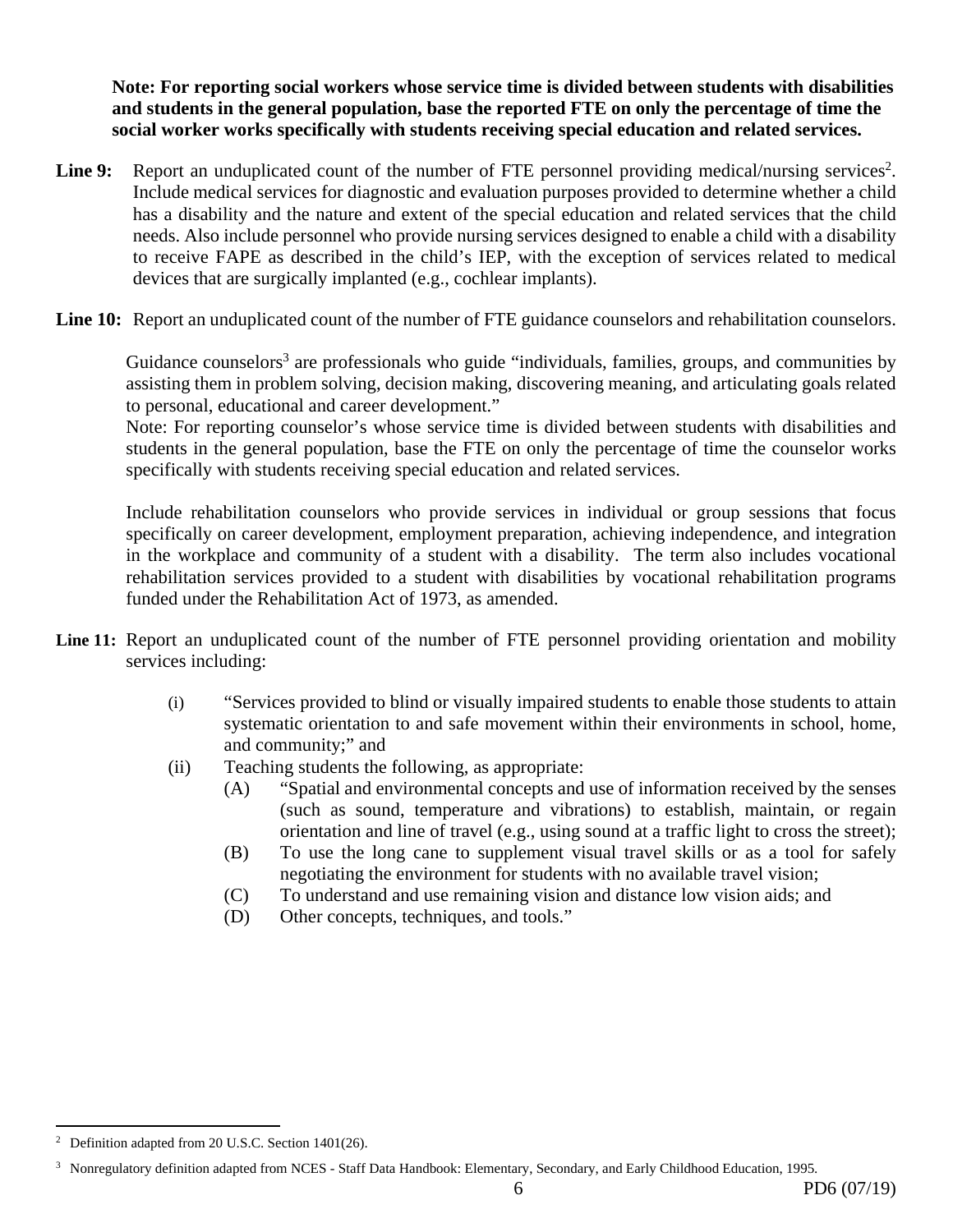**Note: For reporting social workers whose service time is divided between students with disabilities and students in the general population, base the reported FTE on only the percentage of time the social worker works specifically with students receiving special education and related services.** 

Line 9: Report an unduplicated count of the number of FTE personnel providing medical/nursing services<sup>2</sup>. Include medical services for diagnostic and evaluation purposes provided to determine whether a child has a disability and the nature and extent of the special education and related services that the child needs. Also include personnel who provide nursing services designed to enable a child with a disability to receive FAPE as described in the child's IEP, with the exception of services related to medical devices that are surgically implanted (e.g., cochlear implants).

Line 10: Report an unduplicated count of the number of FTE guidance counselors and rehabilitation counselors.

Guidance counselors<sup>3</sup> are professionals who guide "individuals, families, groups, and communities by assisting them in problem solving, decision making, discovering meaning, and articulating goals related to personal, educational and career development."

Note: For reporting counselor's whose service time is divided between students with disabilities and students in the general population, base the FTE on only the percentage of time the counselor works specifically with students receiving special education and related services.

Include rehabilitation counselors who provide services in individual or group sessions that focus specifically on career development, employment preparation, achieving independence, and integration in the workplace and community of a student with a disability. The term also includes vocational rehabilitation services provided to a student with disabilities by vocational rehabilitation programs funded under the Rehabilitation Act of 1973, as amended.

- Line 11: Report an unduplicated count of the number of FTE personnel providing orientation and mobility services including:
	- (i) "Services provided to blind or visually impaired students to enable those students to attain systematic orientation to and safe movement within their environments in school, home, and community;" and
	- (ii) Teaching students the following, as appropriate:
		- (A) "Spatial and environmental concepts and use of information received by the senses (such as sound, temperature and vibrations) to establish, maintain, or regain orientation and line of travel (e.g., using sound at a traffic light to cross the street);
		- (B) To use the long cane to supplement visual travel skills or as a tool for safely negotiating the environment for students with no available travel vision;
		- (C) To understand and use remaining vision and distance low vision aids; and
		- (D) Other concepts, techniques, and tools."

 $\overline{a}$ 

Definition adapted from 20 U.S.C. Section 1401(26).

<sup>&</sup>lt;sup>3</sup> Nonregulatory definition adapted from NCES - Staff Data Handbook: Elementary, Secondary, and Early Childhood Education, 1995.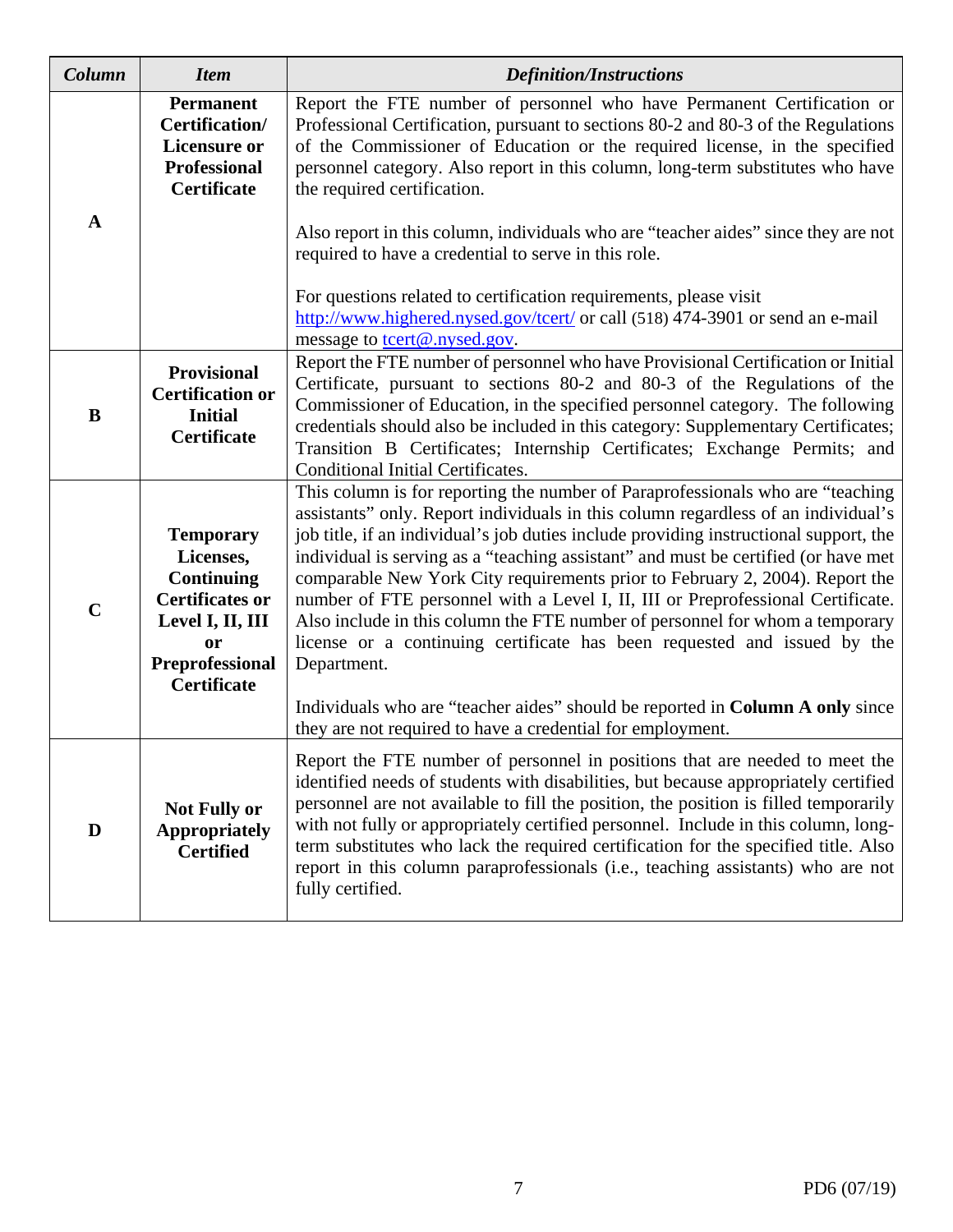| Column      | <b>Item</b>                                                                                                                                                   | <b>Definition/Instructions</b>                                                                                                                                                                                                                                                                                                                                                                                                                                                                                                                                                                                                                                                                   |  |  |  |  |  |
|-------------|---------------------------------------------------------------------------------------------------------------------------------------------------------------|--------------------------------------------------------------------------------------------------------------------------------------------------------------------------------------------------------------------------------------------------------------------------------------------------------------------------------------------------------------------------------------------------------------------------------------------------------------------------------------------------------------------------------------------------------------------------------------------------------------------------------------------------------------------------------------------------|--|--|--|--|--|
|             | <b>Permanent</b><br>Certification/<br><b>Licensure or</b><br><b>Professional</b><br><b>Certificate</b>                                                        | Report the FTE number of personnel who have Permanent Certification or<br>Professional Certification, pursuant to sections 80-2 and 80-3 of the Regulations<br>of the Commissioner of Education or the required license, in the specified<br>personnel category. Also report in this column, long-term substitutes who have<br>the required certification.                                                                                                                                                                                                                                                                                                                                       |  |  |  |  |  |
| A           |                                                                                                                                                               | Also report in this column, individuals who are "teacher aides" since they are not<br>required to have a credential to serve in this role.                                                                                                                                                                                                                                                                                                                                                                                                                                                                                                                                                       |  |  |  |  |  |
|             |                                                                                                                                                               | For questions related to certification requirements, please visit<br>http://www.highered.nysed.gov/tcert/ or call (518) 474-3901 or send an e-mail<br>message to tcert@.nysed.gov.                                                                                                                                                                                                                                                                                                                                                                                                                                                                                                               |  |  |  |  |  |
| B           | Provisional<br><b>Certification or</b><br><b>Initial</b><br><b>Certificate</b>                                                                                | Report the FTE number of personnel who have Provisional Certification or Initial<br>Certificate, pursuant to sections 80-2 and 80-3 of the Regulations of the<br>Commissioner of Education, in the specified personnel category. The following<br>credentials should also be included in this category: Supplementary Certificates;<br>Transition B Certificates; Internship Certificates; Exchange Permits; and<br><b>Conditional Initial Certificates.</b>                                                                                                                                                                                                                                     |  |  |  |  |  |
| $\mathbf C$ | <b>Temporary</b><br>Licenses,<br><b>Continuing</b><br><b>Certificates or</b><br>Level I, II, III<br><b>or</b><br><b>Preprofessional</b><br><b>Certificate</b> | This column is for reporting the number of Paraprofessionals who are "teaching<br>assistants" only. Report individuals in this column regardless of an individual's<br>job title, if an individual's job duties include providing instructional support, the<br>individual is serving as a "teaching assistant" and must be certified (or have met<br>comparable New York City requirements prior to February 2, 2004). Report the<br>number of FTE personnel with a Level I, II, III or Preprofessional Certificate.<br>Also include in this column the FTE number of personnel for whom a temporary<br>license or a continuing certificate has been requested and issued by the<br>Department. |  |  |  |  |  |
|             |                                                                                                                                                               | Individuals who are "teacher aides" should be reported in Column A only since<br>they are not required to have a credential for employment.                                                                                                                                                                                                                                                                                                                                                                                                                                                                                                                                                      |  |  |  |  |  |
| D           | <b>Not Fully or</b><br><b>Appropriately</b><br><b>Certified</b>                                                                                               | Report the FTE number of personnel in positions that are needed to meet the<br>identified needs of students with disabilities, but because appropriately certified<br>personnel are not available to fill the position, the position is filled temporarily<br>with not fully or appropriately certified personnel. Include in this column, long-<br>term substitutes who lack the required certification for the specified title. Also<br>report in this column paraprofessionals (i.e., teaching assistants) who are not<br>fully certified.                                                                                                                                                    |  |  |  |  |  |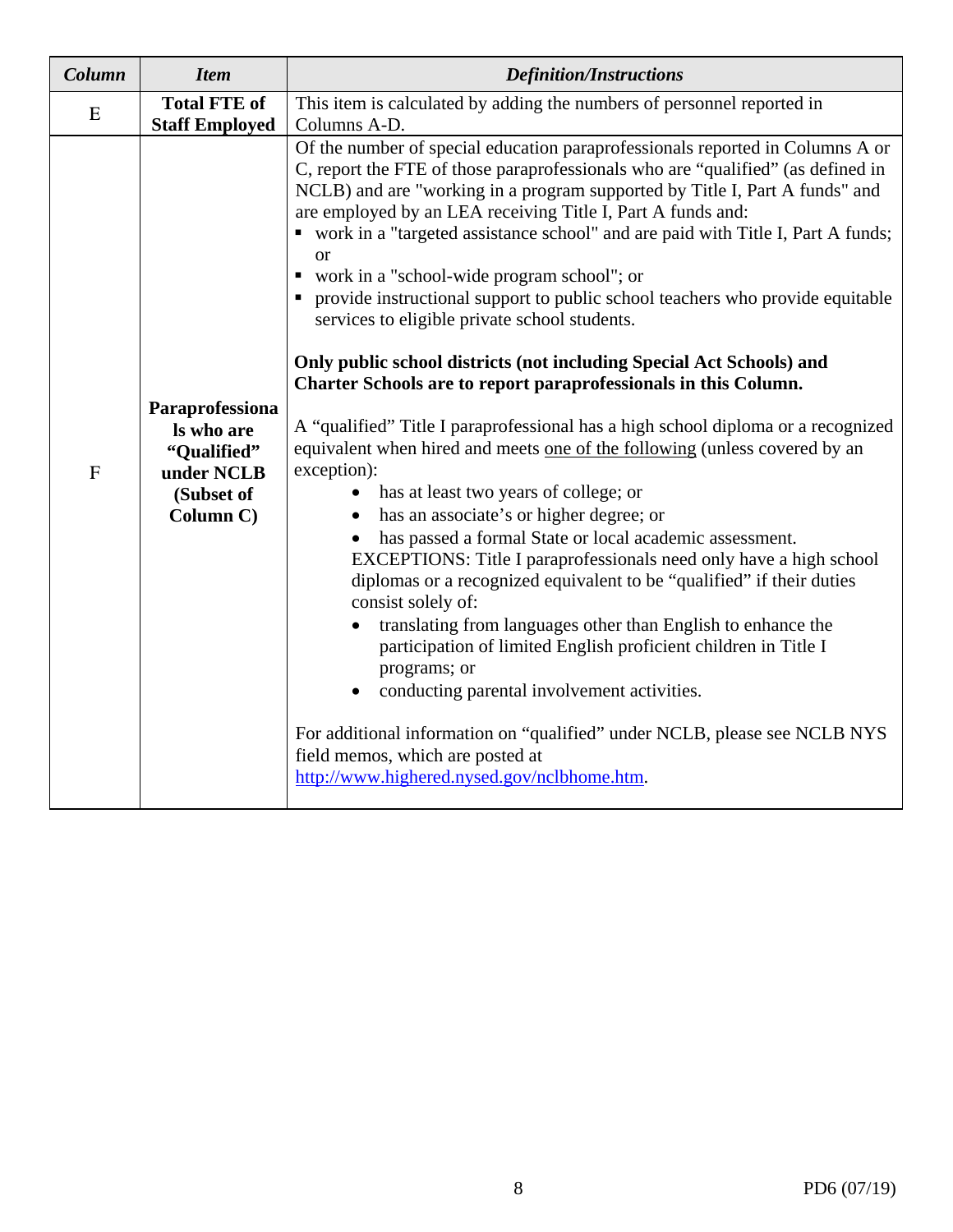| Column       | <b>Item</b>                                                                           | <b>Definition/Instructions</b>                                                                                                                                                                                                                                                                                                                                                                                                                                                                                                                                                                                                                                                                                                                                                                                                                                                                                                                                                                                                                                                                                                                                                                                                                                                                                                                                                                                                                                                                                                                                                                                         |  |  |  |
|--------------|---------------------------------------------------------------------------------------|------------------------------------------------------------------------------------------------------------------------------------------------------------------------------------------------------------------------------------------------------------------------------------------------------------------------------------------------------------------------------------------------------------------------------------------------------------------------------------------------------------------------------------------------------------------------------------------------------------------------------------------------------------------------------------------------------------------------------------------------------------------------------------------------------------------------------------------------------------------------------------------------------------------------------------------------------------------------------------------------------------------------------------------------------------------------------------------------------------------------------------------------------------------------------------------------------------------------------------------------------------------------------------------------------------------------------------------------------------------------------------------------------------------------------------------------------------------------------------------------------------------------------------------------------------------------------------------------------------------------|--|--|--|
| E            | <b>Total FTE of</b><br><b>Staff Employed</b>                                          | This item is calculated by adding the numbers of personnel reported in<br>Columns A-D.                                                                                                                                                                                                                                                                                                                                                                                                                                                                                                                                                                                                                                                                                                                                                                                                                                                                                                                                                                                                                                                                                                                                                                                                                                                                                                                                                                                                                                                                                                                                 |  |  |  |
| $\mathbf{F}$ | Paraprofessiona<br>Is who are<br>"Qualified"<br>under NCLB<br>(Subset of<br>Column C) | Of the number of special education paraprofessionals reported in Columns A or<br>C, report the FTE of those paraprofessionals who are "qualified" (as defined in<br>NCLB) and are "working in a program supported by Title I, Part A funds" and<br>are employed by an LEA receiving Title I, Part A funds and:<br>• work in a "targeted assistance school" and are paid with Title I, Part A funds;<br><b>or</b><br>• work in a "school-wide program school"; or<br>• provide instructional support to public school teachers who provide equitable<br>services to eligible private school students.<br>Only public school districts (not including Special Act Schools) and<br>Charter Schools are to report paraprofessionals in this Column.<br>A "qualified" Title I paraprofessional has a high school diploma or a recognized<br>equivalent when hired and meets one of the following (unless covered by an<br>exception):<br>has at least two years of college; or<br>has an associate's or higher degree; or<br>has passed a formal State or local academic assessment.<br>EXCEPTIONS: Title I paraprofessionals need only have a high school<br>diplomas or a recognized equivalent to be "qualified" if their duties<br>consist solely of:<br>translating from languages other than English to enhance the<br>participation of limited English proficient children in Title I<br>programs; or<br>conducting parental involvement activities.<br>For additional information on "qualified" under NCLB, please see NCLB NYS<br>field memos, which are posted at<br>http://www.highered.nysed.gov/nclbhome.htm. |  |  |  |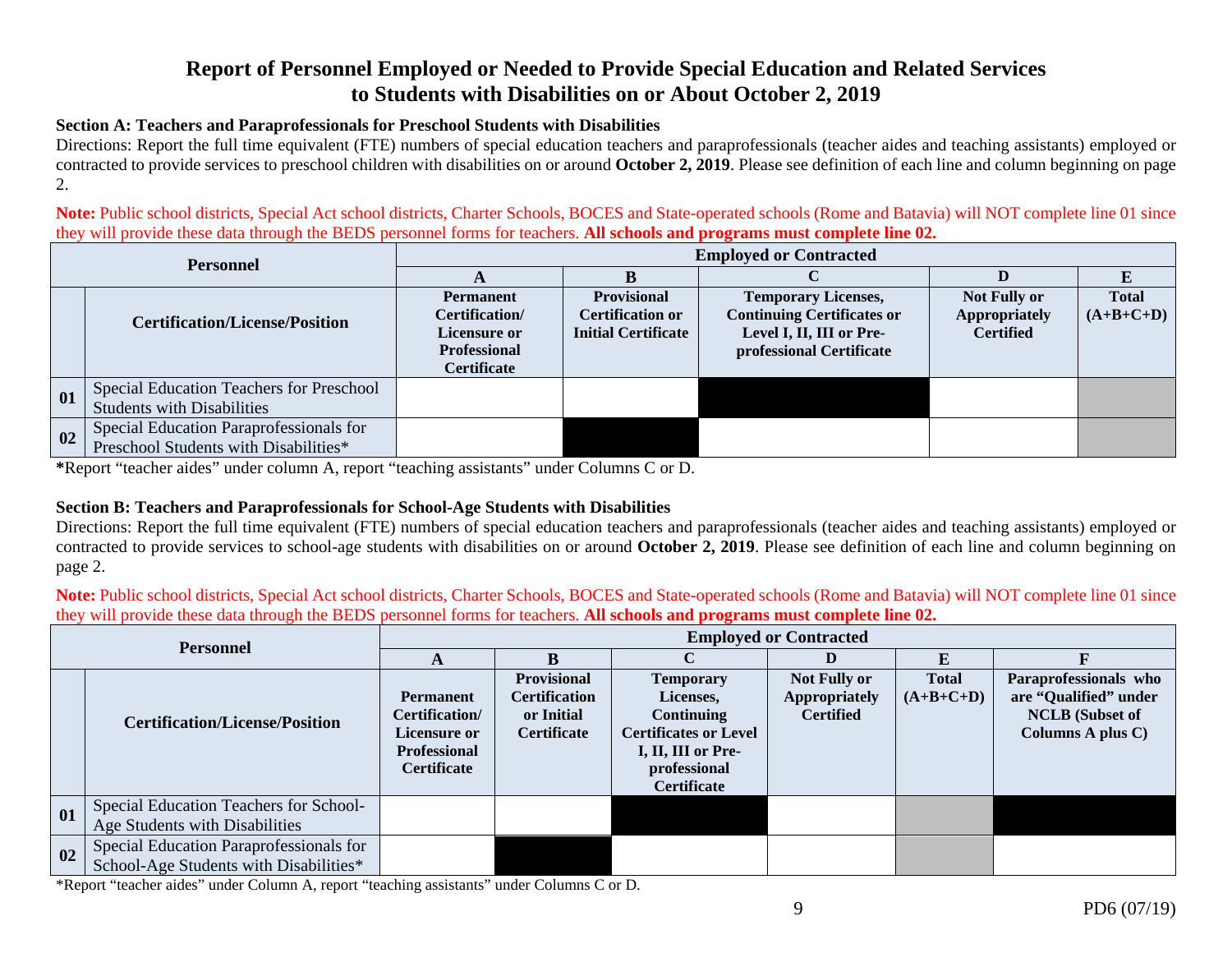# **Report of Personnel Employed or Needed to Provide Special Education and Related Services to Students with Disabilities on or About October 2, 2019**

#### **Section A: Teachers and Paraprofessionals for Preschool Students with Disabilities**

Directions: Report the full time equivalent (FTE) numbers of special education teachers and paraprofessionals (teacher aides and teaching assistants) employed or contracted to provide services to preschool children with disabilities on or around **October 2, 2019**. Please see definition of each line and column beginning on page 2.

**Note:** Public school districts, Special Act school districts, Charter Schools, BOCES and State-operated schools (Rome and Batavia) will NOT complete line 01 since they will provide these data through the BEDS personnel forms for teachers. **All schools and programs must complete line 02.** 

| <b>Personnel</b> |                                                                                  | <b>Employed or Contracted</b>                                                                   |                                                                             |                                                                                                                         |                                                          |                             |  |  |  |
|------------------|----------------------------------------------------------------------------------|-------------------------------------------------------------------------------------------------|-----------------------------------------------------------------------------|-------------------------------------------------------------------------------------------------------------------------|----------------------------------------------------------|-----------------------------|--|--|--|
|                  |                                                                                  | A                                                                                               |                                                                             |                                                                                                                         |                                                          |                             |  |  |  |
|                  | <b>Certification/License/Position</b>                                            | <b>Permanent</b><br>Certification/<br>Licensure or<br><b>Professional</b><br><b>Certificate</b> | <b>Provisional</b><br><b>Certification or</b><br><b>Initial Certificate</b> | <b>Temporary Licenses,</b><br><b>Continuing Certificates or</b><br>Level I, II, III or Pre-<br>professional Certificate | <b>Not Fully or</b><br>Appropriately<br><b>Certified</b> | <b>Total</b><br>$(A+B+C+D)$ |  |  |  |
| 01               | Special Education Teachers for Preschool<br><b>Students with Disabilities</b>    |                                                                                                 |                                                                             |                                                                                                                         |                                                          |                             |  |  |  |
| 0 <sub>2</sub>   | Special Education Paraprofessionals for<br>Preschool Students with Disabilities* |                                                                                                 |                                                                             |                                                                                                                         |                                                          |                             |  |  |  |

**\***Report "teacher aides" under column A, report "teaching assistants" under Columns C or D.

### **Section B: Teachers and Paraprofessionals for School-Age Students with Disabilities**

Directions: Report the full time equivalent (FTE) numbers of special education teachers and paraprofessionals (teacher aides and teaching assistants) employed or contracted to provide services to school-age students with disabilities on or around **October 2, 2019**. Please see definition of each line and column beginning on page 2.

**Note:** Public school districts, Special Act school districts, Charter Schools, BOCES and State-operated schools (Rome and Batavia) will NOT complete line 01 since they will provide these data through the BEDS personnel forms for teachers. **All schools and programs must complete line 02.** 

| <b>Personnel</b> |                                                                                   | <b>Employed or Contracted</b>                                                                          |                                                                                |                                                                                                                                                |                                                                 |                             |                                                                                               |  |
|------------------|-----------------------------------------------------------------------------------|--------------------------------------------------------------------------------------------------------|--------------------------------------------------------------------------------|------------------------------------------------------------------------------------------------------------------------------------------------|-----------------------------------------------------------------|-----------------------------|-----------------------------------------------------------------------------------------------|--|
|                  |                                                                                   |                                                                                                        |                                                                                |                                                                                                                                                | D)                                                              |                             |                                                                                               |  |
|                  | <b>Certification/License/Position</b>                                             | <b>Permanent</b><br><b>Certification/</b><br>Licensure or<br><b>Professional</b><br><b>Certificate</b> | <b>Provisional</b><br><b>Certification</b><br>or Initial<br><b>Certificate</b> | <b>Temporary</b><br>Licenses,<br><b>Continuing</b><br><b>Certificates or Level</b><br>I, II, III or Pre-<br>professional<br><b>Certificate</b> | <b>Not Fully or</b><br><b>Appropriately</b><br><b>Certified</b> | <b>Total</b><br>$(A+B+C+D)$ | Paraprofessionals who<br>are "Qualified" under<br><b>NCLB</b> (Subset of<br>Columns A plus C) |  |
| 01               | Special Education Teachers for School-<br>Age Students with Disabilities          |                                                                                                        |                                                                                |                                                                                                                                                |                                                                 |                             |                                                                                               |  |
| 02               | Special Education Paraprofessionals for<br>School-Age Students with Disabilities* |                                                                                                        |                                                                                |                                                                                                                                                |                                                                 |                             |                                                                                               |  |

\*Report "teacher aides" under Column A, report "teaching assistants" under Columns C or D.